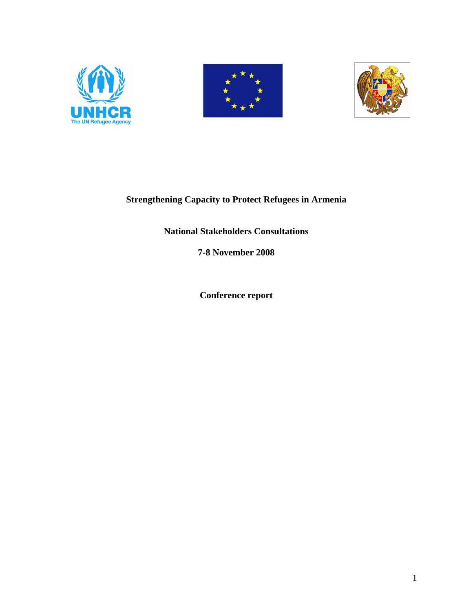





### **Strengthening Capacity to Protect Refugees in Armenia**

### **National Stakeholders Consultations**

**7-8 November 2008** 

**Conference report**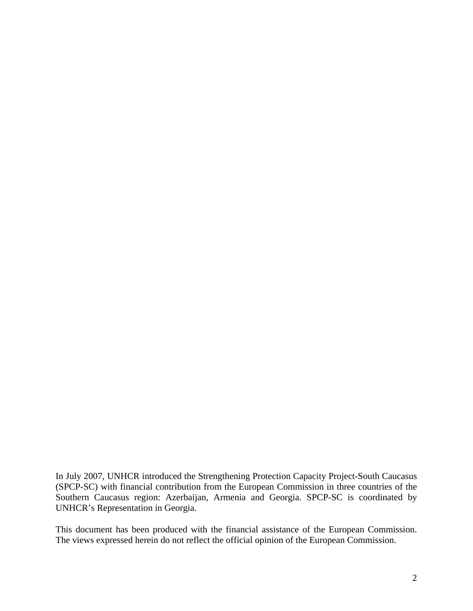In July 2007, UNHCR introduced the Strengthening Protection Capacity Project-South Caucasus (SPCP-SC) with financial contribution from the European Commission in three countries of the Southern Caucasus region: Azerbaijan, Armenia and Georgia. SPCP-SC is coordinated by UNHCR's Representation in Georgia.

This document has been produced with the financial assistance of the European Commission. The views expressed herein do not reflect the official opinion of the European Commission.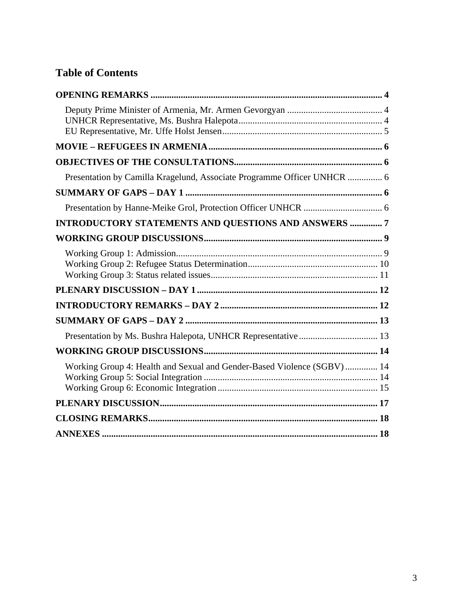# **Table of Contents**

| Presentation by Camilla Kragelund, Associate Programme Officer UNHCR  6 |
|-------------------------------------------------------------------------|
|                                                                         |
|                                                                         |
| INTRODUCTORY STATEMENTS AND QUESTIONS AND ANSWERS  7                    |
|                                                                         |
|                                                                         |
|                                                                         |
|                                                                         |
|                                                                         |
|                                                                         |
|                                                                         |
| Working Group 4: Health and Sexual and Gender-Based Violence (SGBV)  14 |
|                                                                         |
|                                                                         |
|                                                                         |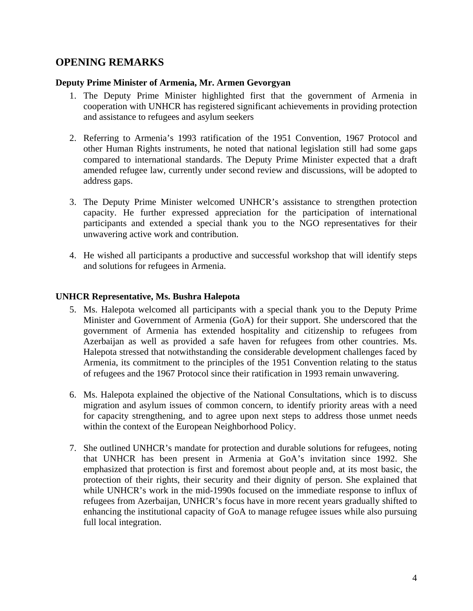### <span id="page-3-0"></span>**OPENING REMARKS**

#### **Deputy Prime Minister of Armenia, Mr. Armen Gevorgyan**

- 1. The Deputy Prime Minister highlighted first that the government of Armenia in cooperation with UNHCR has registered significant achievements in providing protection and assistance to refugees and asylum seekers
- 2. Referring to Armenia's 1993 ratification of the 1951 Convention, 1967 Protocol and other Human Rights instruments, he noted that national legislation still had some gaps compared to international standards. The Deputy Prime Minister expected that a draft amended refugee law, currently under second review and discussions, will be adopted to address gaps.
- 3. The Deputy Prime Minister welcomed UNHCR's assistance to strengthen protection capacity. He further expressed appreciation for the participation of international participants and extended a special thank you to the NGO representatives for their unwavering active work and contribution.
- 4. He wished all participants a productive and successful workshop that will identify steps and solutions for refugees in Armenia.

#### **UNHCR Representative, Ms. Bushra Halepota**

- 5. Ms. Halepota welcomed all participants with a special thank you to the Deputy Prime Minister and Government of Armenia (GoA) for their support. She underscored that the government of Armenia has extended hospitality and citizenship to refugees from Azerbaijan as well as provided a safe haven for refugees from other countries. Ms. Halepota stressed that notwithstanding the considerable development challenges faced by Armenia, its commitment to the principles of the 1951 Convention relating to the status of refugees and the 1967 Protocol since their ratification in 1993 remain unwavering.
- 6. Ms. Halepota explained the objective of the National Consultations, which is to discuss migration and asylum issues of common concern, to identify priority areas with a need for capacity strengthening, and to agree upon next steps to address those unmet needs within the context of the European Neighborhood Policy.
- 7. She outlined UNHCR's mandate for protection and durable solutions for refugees, noting that UNHCR has been present in Armenia at GoA's invitation since 1992. She emphasized that protection is first and foremost about people and, at its most basic, the protection of their rights, their security and their dignity of person. She explained that while UNHCR's work in the mid-1990s focused on the immediate response to influx of refugees from Azerbaijan, UNHCR's focus have in more recent years gradually shifted to enhancing the institutional capacity of GoA to manage refugee issues while also pursuing full local integration.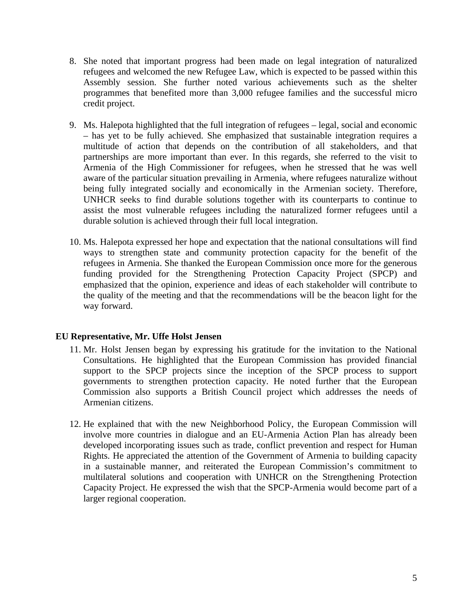- <span id="page-4-0"></span>8. She noted that important progress had been made on legal integration of naturalized refugees and welcomed the new Refugee Law, which is expected to be passed within this Assembly session. She further noted various achievements such as the shelter programmes that benefited more than 3,000 refugee families and the successful micro credit project.
- 9. Ms. Halepota highlighted that the full integration of refugees legal, social and economic – has yet to be fully achieved. She emphasized that sustainable integration requires a multitude of action that depends on the contribution of all stakeholders, and that partnerships are more important than ever. In this regards, she referred to the visit to Armenia of the High Commissioner for refugees, when he stressed that he was well aware of the particular situation prevailing in Armenia, where refugees naturalize without being fully integrated socially and economically in the Armenian society. Therefore, UNHCR seeks to find durable solutions together with its counterparts to continue to assist the most vulnerable refugees including the naturalized former refugees until a durable solution is achieved through their full local integration.
- 10. Ms. Halepota expressed her hope and expectation that the national consultations will find ways to strengthen state and community protection capacity for the benefit of the refugees in Armenia. She thanked the European Commission once more for the generous funding provided for the Strengthening Protection Capacity Project (SPCP) and emphasized that the opinion, experience and ideas of each stakeholder will contribute to the quality of the meeting and that the recommendations will be the beacon light for the way forward.

### **EU Representative, Mr. Uffe Holst Jensen**

- 11. Mr. Holst Jensen began by expressing his gratitude for the invitation to the National Consultations. He highlighted that the European Commission has provided financial support to the SPCP projects since the inception of the SPCP process to support governments to strengthen protection capacity. He noted further that the European Commission also supports a British Council project which addresses the needs of Armenian citizens.
- 12. He explained that with the new Neighborhood Policy, the European Commission will involve more countries in dialogue and an EU-Armenia Action Plan has already been developed incorporating issues such as trade, conflict prevention and respect for Human Rights. He appreciated the attention of the Government of Armenia to building capacity in a sustainable manner, and reiterated the European Commission's commitment to multilateral solutions and cooperation with UNHCR on the Strengthening Protection Capacity Project. He expressed the wish that the SPCP-Armenia would become part of a larger regional cooperation.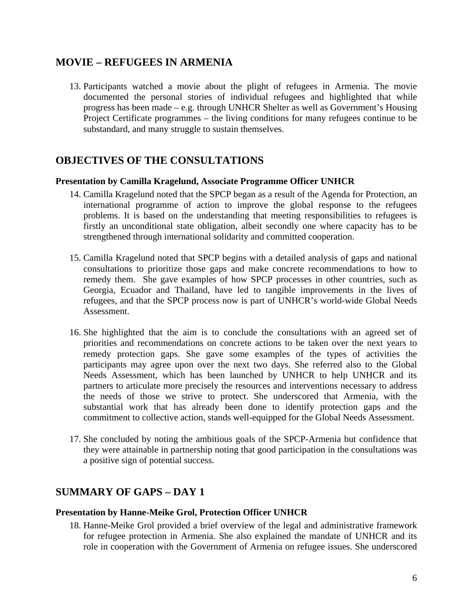# <span id="page-5-0"></span>**MOVIE – REFUGEES IN ARMENIA**

13. Participants watched a movie about the plight of refugees in Armenia. The movie documented the personal stories of individual refugees and highlighted that while progress has been made – e.g. through UNHCR Shelter as well as Government's Housing Project Certificate programmes – the living conditions for many refugees continue to be substandard, and many struggle to sustain themselves.

### **OBJECTIVES OF THE CONSULTATIONS**

#### **Presentation by Camilla Kragelund, Associate Programme Officer UNHCR**

- 14. Camilla Kragelund noted that the SPCP began as a result of the Agenda for Protection, an international programme of action to improve the global response to the refugees problems. It is based on the understanding that meeting responsibilities to refugees is firstly an unconditional state obligation, albeit secondly one where capacity has to be strengthened through international solidarity and committed cooperation.
- 15. Camilla Kragelund noted that SPCP begins with a detailed analysis of gaps and national consultations to prioritize those gaps and make concrete recommendations to how to remedy them. She gave examples of how SPCP processes in other countries, such as Georgia, Ecuador and Thailand, have led to tangible improvements in the lives of refugees, and that the SPCP process now is part of UNHCR's world-wide Global Needs Assessment.
- 16. She highlighted that the aim is to conclude the consultations with an agreed set of priorities and recommendations on concrete actions to be taken over the next years to remedy protection gaps. She gave some examples of the types of activities the participants may agree upon over the next two days. She referred also to the Global Needs Assessment, which has been launched by UNHCR to help UNHCR and its partners to articulate more precisely the resources and interventions necessary to address the needs of those we strive to protect. She underscored that Armenia, with the substantial work that has already been done to identify protection gaps and the commitment to collective action, stands well-equipped for the Global Needs Assessment.
- 17. She concluded by noting the ambitious goals of the SPCP-Armenia but confidence that they were attainable in partnership noting that good participation in the consultations was a positive sign of potential success.

# **SUMMARY OF GAPS – DAY 1**

#### **Presentation by Hanne-Meike Grol, Protection Officer UNHCR**

18. Hanne-Meike Grol provided a brief overview of the legal and administrative framework for refugee protection in Armenia. She also explained the mandate of UNHCR and its role in cooperation with the Government of Armenia on refugee issues. She underscored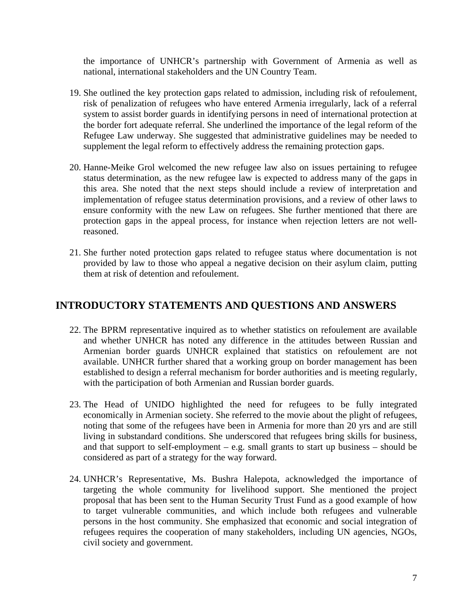<span id="page-6-0"></span>the importance of UNHCR's partnership with Government of Armenia as well as national, international stakeholders and the UN Country Team.

- 19. She outlined the key protection gaps related to admission, including risk of refoulement, risk of penalization of refugees who have entered Armenia irregularly, lack of a referral system to assist border guards in identifying persons in need of international protection at the border fort adequate referral. She underlined the importance of the legal reform of the Refugee Law underway. She suggested that administrative guidelines may be needed to supplement the legal reform to effectively address the remaining protection gaps.
- 20. Hanne-Meike Grol welcomed the new refugee law also on issues pertaining to refugee status determination, as the new refugee law is expected to address many of the gaps in this area. She noted that the next steps should include a review of interpretation and implementation of refugee status determination provisions, and a review of other laws to ensure conformity with the new Law on refugees. She further mentioned that there are protection gaps in the appeal process, for instance when rejection letters are not wellreasoned.
- 21. She further noted protection gaps related to refugee status where documentation is not provided by law to those who appeal a negative decision on their asylum claim, putting them at risk of detention and refoulement.

# **INTRODUCTORY STATEMENTS AND QUESTIONS AND ANSWERS**

- 22. The BPRM representative inquired as to whether statistics on refoulement are available and whether UNHCR has noted any difference in the attitudes between Russian and Armenian border guards UNHCR explained that statistics on refoulement are not available. UNHCR further shared that a working group on border management has been established to design a referral mechanism for border authorities and is meeting regularly, with the participation of both Armenian and Russian border guards.
- 23. The Head of UNIDO highlighted the need for refugees to be fully integrated economically in Armenian society. She referred to the movie about the plight of refugees, noting that some of the refugees have been in Armenia for more than 20 yrs and are still living in substandard conditions. She underscored that refugees bring skills for business, and that support to self-employment – e.g. small grants to start up business – should be considered as part of a strategy for the way forward.
- 24. UNHCR's Representative, Ms. Bushra Halepota, acknowledged the importance of targeting the whole community for livelihood support. She mentioned the project proposal that has been sent to the Human Security Trust Fund as a good example of how to target vulnerable communities, and which include both refugees and vulnerable persons in the host community. She emphasized that economic and social integration of refugees requires the cooperation of many stakeholders, including UN agencies, NGOs, civil society and government.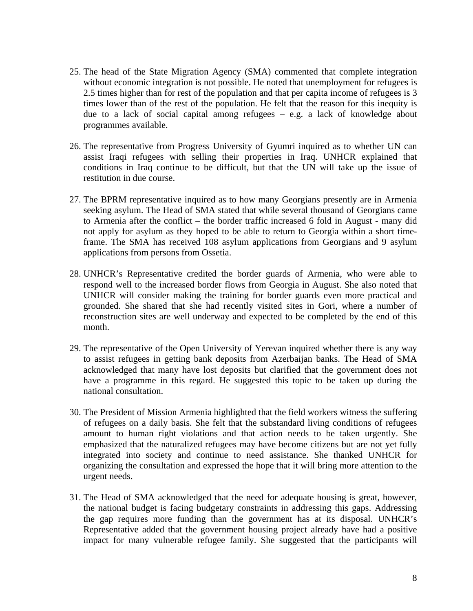- 25. The head of the State Migration Agency (SMA) commented that complete integration without economic integration is not possible. He noted that unemployment for refugees is 2.5 times higher than for rest of the population and that per capita income of refugees is 3 times lower than of the rest of the population. He felt that the reason for this inequity is due to a lack of social capital among refugees – e.g. a lack of knowledge about programmes available.
- 26. The representative from Progress University of Gyumri inquired as to whether UN can assist Iraqi refugees with selling their properties in Iraq. UNHCR explained that conditions in Iraq continue to be difficult, but that the UN will take up the issue of restitution in due course.
- 27. The BPRM representative inquired as to how many Georgians presently are in Armenia seeking asylum. The Head of SMA stated that while several thousand of Georgians came to Armenia after the conflict – the border traffic increased 6 fold in August - many did not apply for asylum as they hoped to be able to return to Georgia within a short timeframe. The SMA has received 108 asylum applications from Georgians and 9 asylum applications from persons from Ossetia.
- 28. UNHCR's Representative credited the border guards of Armenia, who were able to respond well to the increased border flows from Georgia in August. She also noted that UNHCR will consider making the training for border guards even more practical and grounded. She shared that she had recently visited sites in Gori, where a number of reconstruction sites are well underway and expected to be completed by the end of this month.
- 29. The representative of the Open University of Yerevan inquired whether there is any way to assist refugees in getting bank deposits from Azerbaijan banks. The Head of SMA acknowledged that many have lost deposits but clarified that the government does not have a programme in this regard. He suggested this topic to be taken up during the national consultation.
- 30. The President of Mission Armenia highlighted that the field workers witness the suffering of refugees on a daily basis. She felt that the substandard living conditions of refugees amount to human right violations and that action needs to be taken urgently. She emphasized that the naturalized refugees may have become citizens but are not yet fully integrated into society and continue to need assistance. She thanked UNHCR for organizing the consultation and expressed the hope that it will bring more attention to the urgent needs.
- 31. The Head of SMA acknowledged that the need for adequate housing is great, however, the national budget is facing budgetary constraints in addressing this gaps. Addressing the gap requires more funding than the government has at its disposal. UNHCR's Representative added that the government housing project already have had a positive impact for many vulnerable refugee family. She suggested that the participants will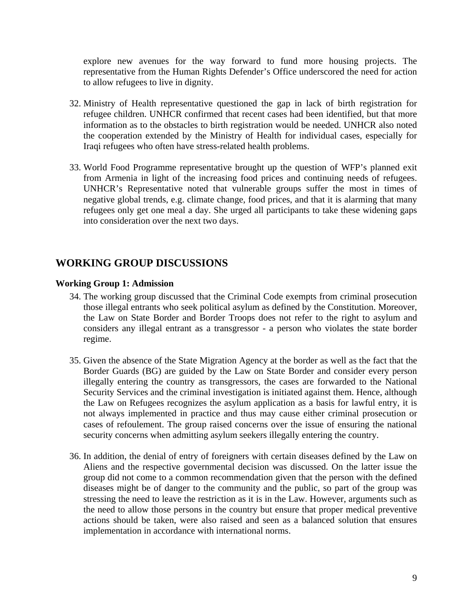<span id="page-8-0"></span>explore new avenues for the way forward to fund more housing projects. The representative from the Human Rights Defender's Office underscored the need for action to allow refugees to live in dignity.

- 32. Ministry of Health representative questioned the gap in lack of birth registration for refugee children. UNHCR confirmed that recent cases had been identified, but that more information as to the obstacles to birth registration would be needed. UNHCR also noted the cooperation extended by the Ministry of Health for individual cases, especially for Iraqi refugees who often have stress-related health problems.
- 33. World Food Programme representative brought up the question of WFP's planned exit from Armenia in light of the increasing food prices and continuing needs of refugees. UNHCR's Representative noted that vulnerable groups suffer the most in times of negative global trends, e.g. climate change, food prices, and that it is alarming that many refugees only get one meal a day. She urged all participants to take these widening gaps into consideration over the next two days.

# **WORKING GROUP DISCUSSIONS**

#### **Working Group 1: Admission**

- 34. The working group discussed that the Criminal Code exempts from criminal prosecution those illegal entrants who seek political asylum as defined by the Constitution. Moreover, the Law on State Border and Border Troops does not refer to the right to asylum and considers any illegal entrant as a transgressor - a person who violates the state border regime.
- 35. Given the absence of the State Migration Agency at the border as well as the fact that the Border Guards (BG) are guided by the Law on State Border and consider every person illegally entering the country as transgressors, the cases are forwarded to the National Security Services and the criminal investigation is initiated against them. Hence, although the Law on Refugees recognizes the asylum application as a basis for lawful entry, it is not always implemented in practice and thus may cause either criminal prosecution or cases of refoulement. The group raised concerns over the issue of ensuring the national security concerns when admitting asylum seekers illegally entering the country.
- 36. In addition, the denial of entry of foreigners with certain diseases defined by the Law on Aliens and the respective governmental decision was discussed. On the latter issue the group did not come to a common recommendation given that the person with the defined diseases might be of danger to the community and the public, so part of the group was stressing the need to leave the restriction as it is in the Law. However, arguments such as the need to allow those persons in the country but ensure that proper medical preventive actions should be taken, were also raised and seen as a balanced solution that ensures implementation in accordance with international norms.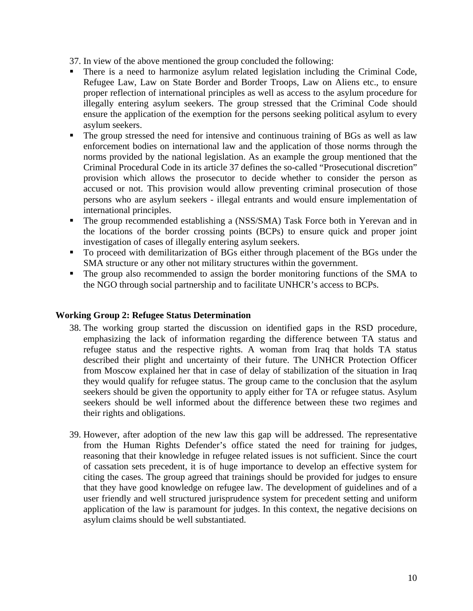37. In view of the above mentioned the group concluded the following:

- There is a need to harmonize asylum related legislation including the Criminal Code, Refugee Law, Law on State Border and Border Troops, Law on Aliens etc., to ensure proper reflection of international principles as well as access to the asylum procedure for illegally entering asylum seekers. The group stressed that the Criminal Code should ensure the application of the exemption for the persons seeking political asylum to every asylum seekers.
- The group stressed the need for intensive and continuous training of BGs as well as law enforcement bodies on international law and the application of those norms through the norms provided by the national legislation. As an example the group mentioned that the Criminal Procedural Code in its article 37 defines the so-called "Prosecutional discretion" provision which allows the prosecutor to decide whether to consider the person as accused or not. This provision would allow preventing criminal prosecution of those persons who are asylum seekers - illegal entrants and would ensure implementation of international principles.
- The group recommended establishing a (NSS/SMA) Task Force both in Yerevan and in the locations of the border crossing points (BCPs) to ensure quick and proper joint investigation of cases of illegally entering asylum seekers.
- To proceed with demilitarization of BGs either through placement of the BGs under the SMA structure or any other not military structures within the government.
- The group also recommended to assign the border monitoring functions of the SMA to the NGO through social partnership and to facilitate UNHCR's access to BCPs.

### **Working Group 2: Refugee Status Determination**

- 38. The working group started the discussion on identified gaps in the RSD procedure, emphasizing the lack of information regarding the difference between TA status and refugee status and the respective rights. A woman from Iraq that holds TA status described their plight and uncertainty of their future. The UNHCR Protection Officer from Moscow explained her that in case of delay of stabilization of the situation in Iraq they would qualify for refugee status. The group came to the conclusion that the asylum seekers should be given the opportunity to apply either for TA or refugee status. Asylum seekers should be well informed about the difference between these two regimes and their rights and obligations.
- 39. However, after adoption of the new law this gap will be addressed. The representative from the Human Rights Defender's office stated the need for training for judges, reasoning that their knowledge in refugee related issues is not sufficient. Since the court of cassation sets precedent, it is of huge importance to develop an effective system for citing the cases. The group agreed that trainings should be provided for judges to ensure that they have good knowledge on refugee law. The development of guidelines and of a user friendly and well structured jurisprudence system for precedent setting and uniform application of the law is paramount for judges. In this context, the negative decisions on asylum claims should be well substantiated.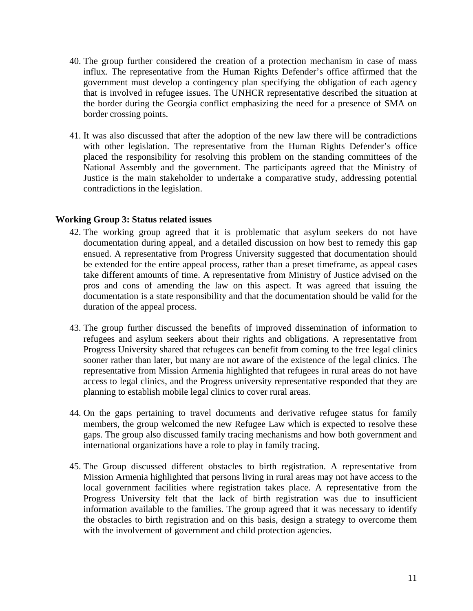- 40. The group further considered the creation of a protection mechanism in case of mass influx. The representative from the Human Rights Defender's office affirmed that the government must develop a contingency plan specifying the obligation of each agency that is involved in refugee issues. The UNHCR representative described the situation at the border during the Georgia conflict emphasizing the need for a presence of SMA on border crossing points.
- 41. It was also discussed that after the adoption of the new law there will be contradictions with other legislation. The representative from the Human Rights Defender's office placed the responsibility for resolving this problem on the standing committees of the National Assembly and the government. The participants agreed that the Ministry of Justice is the main stakeholder to undertake a comparative study, addressing potential contradictions in the legislation.

#### **Working Group 3: Status related issues**

- 42. The working group agreed that it is problematic that asylum seekers do not have documentation during appeal, and a detailed discussion on how best to remedy this gap ensued. A representative from Progress University suggested that documentation should be extended for the entire appeal process, rather than a preset timeframe, as appeal cases take different amounts of time. A representative from Ministry of Justice advised on the pros and cons of amending the law on this aspect. It was agreed that issuing the documentation is a state responsibility and that the documentation should be valid for the duration of the appeal process.
- 43. The group further discussed the benefits of improved dissemination of information to refugees and asylum seekers about their rights and obligations. A representative from Progress University shared that refugees can benefit from coming to the free legal clinics sooner rather than later, but many are not aware of the existence of the legal clinics. The representative from Mission Armenia highlighted that refugees in rural areas do not have access to legal clinics, and the Progress university representative responded that they are planning to establish mobile legal clinics to cover rural areas.
- 44. On the gaps pertaining to travel documents and derivative refugee status for family members, the group welcomed the new Refugee Law which is expected to resolve these gaps. The group also discussed family tracing mechanisms and how both government and international organizations have a role to play in family tracing.
- 45. The Group discussed different obstacles to birth registration. A representative from Mission Armenia highlighted that persons living in rural areas may not have access to the local government facilities where registration takes place. A representative from the Progress University felt that the lack of birth registration was due to insufficient information available to the families. The group agreed that it was necessary to identify the obstacles to birth registration and on this basis, design a strategy to overcome them with the involvement of government and child protection agencies.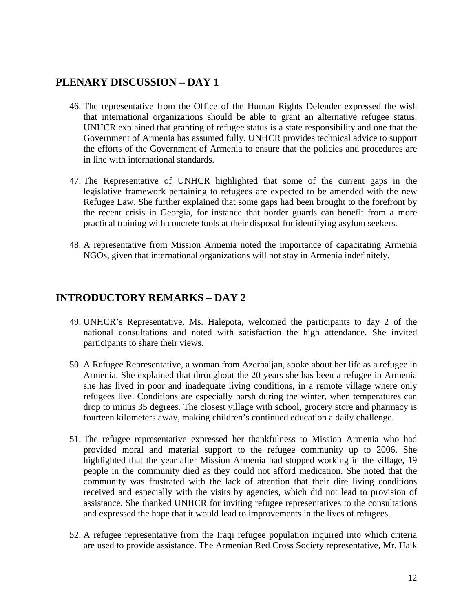### **PLENARY DISCUSSION – DAY 1**

- 46. The representative from the Office of the Human Rights Defender expressed the wish that international organizations should be able to grant an alternative refugee status. UNHCR explained that granting of refugee status is a state responsibility and one that the Government of Armenia has assumed fully. UNHCR provides technical advice to support the efforts of the Government of Armenia to ensure that the policies and procedures are in line with international standards.
- 47. The Representative of UNHCR highlighted that some of the current gaps in the legislative framework pertaining to refugees are expected to be amended with the new Refugee Law. She further explained that some gaps had been brought to the forefront by the recent crisis in Georgia, for instance that border guards can benefit from a more practical training with concrete tools at their disposal for identifying asylum seekers.
- 48. A representative from Mission Armenia noted the importance of capacitating Armenia NGOs, given that international organizations will not stay in Armenia indefinitely.

### **INTRODUCTORY REMARKS – DAY 2**

- 49. UNHCR's Representative, Ms. Halepota, welcomed the participants to day 2 of the national consultations and noted with satisfaction the high attendance. She invited participants to share their views.
- 50. A Refugee Representative, a woman from Azerbaijan, spoke about her life as a refugee in Armenia. She explained that throughout the 20 years she has been a refugee in Armenia she has lived in poor and inadequate living conditions, in a remote village where only refugees live. Conditions are especially harsh during the winter, when temperatures can drop to minus 35 degrees. The closest village with school, grocery store and pharmacy is fourteen kilometers away, making children's continued education a daily challenge.
- 51. The refugee representative expressed her thankfulness to Mission Armenia who had provided moral and material support to the refugee community up to 2006. She highlighted that the year after Mission Armenia had stopped working in the village, 19 people in the community died as they could not afford medication. She noted that the community was frustrated with the lack of attention that their dire living conditions received and especially with the visits by agencies, which did not lead to provision of assistance. She thanked UNHCR for inviting refugee representatives to the consultations and expressed the hope that it would lead to improvements in the lives of refugees.
- 52. A refugee representative from the Iraqi refugee population inquired into which criteria are used to provide assistance. The Armenian Red Cross Society representative, Mr. Haik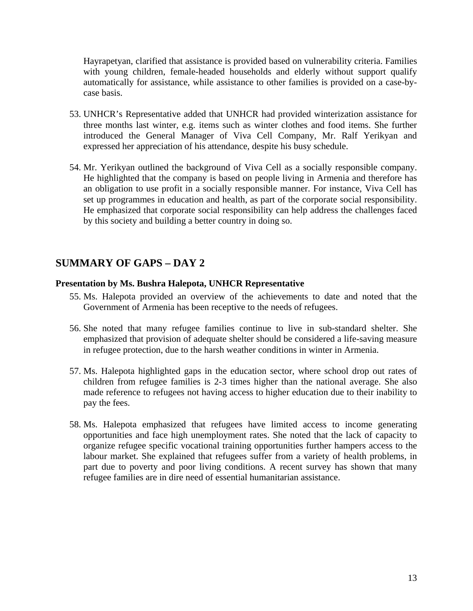<span id="page-12-0"></span>Hayrapetyan, clarified that assistance is provided based on vulnerability criteria. Families with young children, female-headed households and elderly without support qualify automatically for assistance, while assistance to other families is provided on a case-bycase basis.

- 53. UNHCR's Representative added that UNHCR had provided winterization assistance for three months last winter, e.g. items such as winter clothes and food items. She further introduced the General Manager of Viva Cell Company, Mr. Ralf Yerikyan and expressed her appreciation of his attendance, despite his busy schedule.
- 54. Mr. Yerikyan outlined the background of Viva Cell as a socially responsible company. He highlighted that the company is based on people living in Armenia and therefore has an obligation to use profit in a socially responsible manner. For instance, Viva Cell has set up programmes in education and health, as part of the corporate social responsibility. He emphasized that corporate social responsibility can help address the challenges faced by this society and building a better country in doing so.

# **SUMMARY OF GAPS – DAY 2**

#### **Presentation by Ms. Bushra Halepota, UNHCR Representative**

- 55. Ms. Halepota provided an overview of the achievements to date and noted that the Government of Armenia has been receptive to the needs of refugees.
- 56. She noted that many refugee families continue to live in sub-standard shelter. She emphasized that provision of adequate shelter should be considered a life-saving measure in refugee protection, due to the harsh weather conditions in winter in Armenia.
- 57. Ms. Halepota highlighted gaps in the education sector, where school drop out rates of children from refugee families is 2-3 times higher than the national average. She also made reference to refugees not having access to higher education due to their inability to pay the fees.
- 58. Ms. Halepota emphasized that refugees have limited access to income generating opportunities and face high unemployment rates. She noted that the lack of capacity to organize refugee specific vocational training opportunities further hampers access to the labour market. She explained that refugees suffer from a variety of health problems, in part due to poverty and poor living conditions. A recent survey has shown that many refugee families are in dire need of essential humanitarian assistance.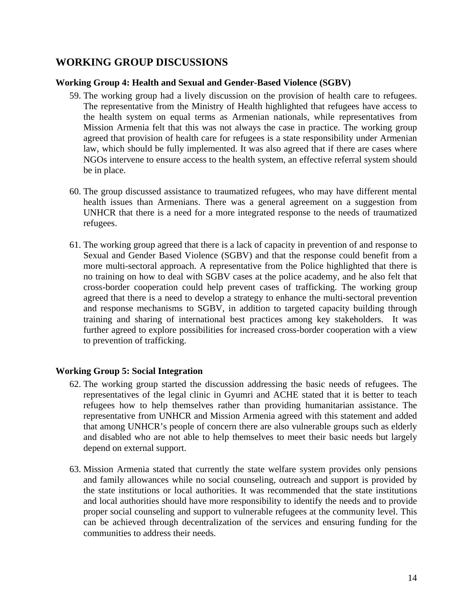# **WORKING GROUP DISCUSSIONS**

#### **Working Group 4: Health and Sexual and Gender-Based Violence (SGBV)**

- 59. The working group had a lively discussion on the provision of health care to refugees. The representative from the Ministry of Health highlighted that refugees have access to the health system on equal terms as Armenian nationals, while representatives from Mission Armenia felt that this was not always the case in practice. The working group agreed that provision of health care for refugees is a state responsibility under Armenian law, which should be fully implemented. It was also agreed that if there are cases where NGOs intervene to ensure access to the health system, an effective referral system should be in place.
- 60. The group discussed assistance to traumatized refugees, who may have different mental health issues than Armenians. There was a general agreement on a suggestion from UNHCR that there is a need for a more integrated response to the needs of traumatized refugees.
- 61. The working group agreed that there is a lack of capacity in prevention of and response to Sexual and Gender Based Violence (SGBV) and that the response could benefit from a more multi-sectoral approach. A representative from the Police highlighted that there is no training on how to deal with SGBV cases at the police academy, and he also felt that cross-border cooperation could help prevent cases of trafficking. The working group agreed that there is a need to develop a strategy to enhance the multi-sectoral prevention and response mechanisms to SGBV, in addition to targeted capacity building through training and sharing of international best practices among key stakeholders. It was further agreed to explore possibilities for increased cross-border cooperation with a view to prevention of trafficking.

### **Working Group 5: Social Integration**

- 62. The working group started the discussion addressing the basic needs of refugees. The representatives of the legal clinic in Gyumri and ACHE stated that it is better to teach refugees how to help themselves rather than providing humanitarian assistance. The representative from UNHCR and Mission Armenia agreed with this statement and added that among UNHCR's people of concern there are also vulnerable groups such as elderly and disabled who are not able to help themselves to meet their basic needs but largely depend on external support.
- 63. Mission Armenia stated that currently the state welfare system provides only pensions and family allowances while no social counseling, outreach and support is provided by the state institutions or local authorities. It was recommended that the state institutions and local authorities should have more responsibility to identify the needs and to provide proper social counseling and support to vulnerable refugees at the community level. This can be achieved through decentralization of the services and ensuring funding for the communities to address their needs.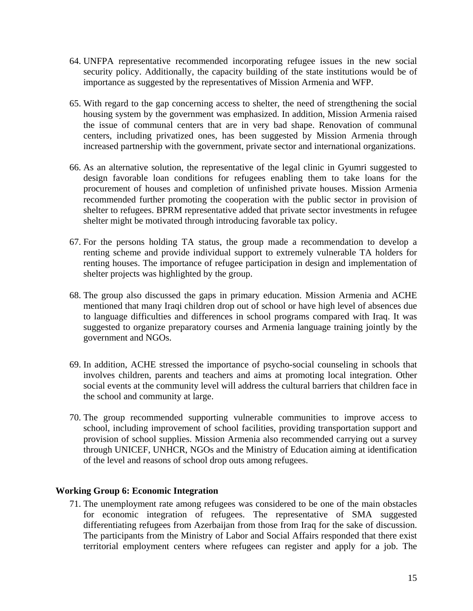- 64. UNFPA representative recommended incorporating refugee issues in the new social security policy. Additionally, the capacity building of the state institutions would be of importance as suggested by the representatives of Mission Armenia and WFP.
- 65. With regard to the gap concerning access to shelter, the need of strengthening the social housing system by the government was emphasized. In addition, Mission Armenia raised the issue of communal centers that are in very bad shape. Renovation of communal centers, including privatized ones, has been suggested by Mission Armenia through increased partnership with the government, private sector and international organizations.
- 66. As an alternative solution, the representative of the legal clinic in Gyumri suggested to design favorable loan conditions for refugees enabling them to take loans for the procurement of houses and completion of unfinished private houses. Mission Armenia recommended further promoting the cooperation with the public sector in provision of shelter to refugees. BPRM representative added that private sector investments in refugee shelter might be motivated through introducing favorable tax policy.
- 67. For the persons holding TA status, the group made a recommendation to develop a renting scheme and provide individual support to extremely vulnerable TA holders for renting houses. The importance of refugee participation in design and implementation of shelter projects was highlighted by the group.
- 68. The group also discussed the gaps in primary education. Mission Armenia and ACHE mentioned that many Iraqi children drop out of school or have high level of absences due to language difficulties and differences in school programs compared with Iraq. It was suggested to organize preparatory courses and Armenia language training jointly by the government and NGOs.
- 69. In addition, ACHE stressed the importance of psycho-social counseling in schools that involves children, parents and teachers and aims at promoting local integration. Other social events at the community level will address the cultural barriers that children face in the school and community at large.
- 70. The group recommended supporting vulnerable communities to improve access to school, including improvement of school facilities, providing transportation support and provision of school supplies. Mission Armenia also recommended carrying out a survey through UNICEF, UNHCR, NGOs and the Ministry of Education aiming at identification of the level and reasons of school drop outs among refugees.

#### **Working Group 6: Economic Integration**

71. The unemployment rate among refugees was considered to be one of the main obstacles for economic integration of refugees. The representative of SMA suggested differentiating refugees from Azerbaijan from those from Iraq for the sake of discussion. The participants from the Ministry of Labor and Social Affairs responded that there exist territorial employment centers where refugees can register and apply for a job. The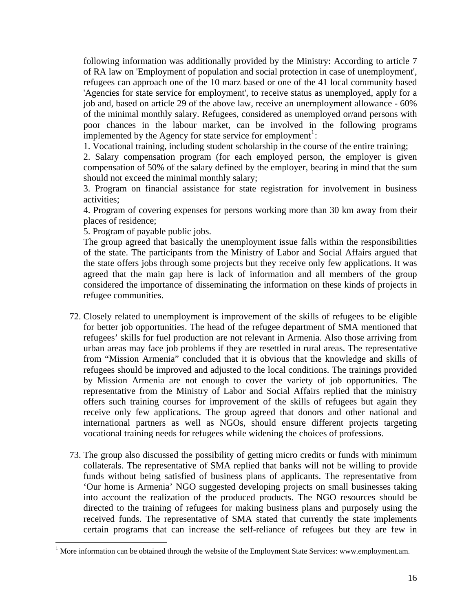following information was additionally provided by the Ministry: According to article 7 of RA law on 'Employment of population and social protection in case of unemployment', refugees can approach one of the 10 marz based or one of the 41 local community based 'Agencies for state service for employment', to receive status as unemployed, apply for a job and, based on article 29 of the above law, receive an unemployment allowance - 60% of the minimal monthly salary. Refugees, considered as unemployed or/and persons with poor chances in the labour market, can be involved in the following programs implemented by the Agency for state service for employment<sup>1</sup>:

1. Vocational training, including student scholarship in the course of the entire training;

2. Salary compensation program (for each employed person, the employer is given compensation of 50% of the salary defined by the employer, bearing in mind that the sum should not exceed the minimal monthly salary;

3. Program on financial assistance for state registration for involvement in business activities;

4. Program of covering expenses for persons working more than 30 km away from their places of residence;

5. Program of payable public jobs.

 $\overline{a}$ 

The group agreed that basically the unemployment issue falls within the responsibilities of the state. The participants from the Ministry of Labor and Social Affairs argued that the state offers jobs through some projects but they receive only few applications. It was agreed that the main gap here is lack of information and all members of the group considered the importance of disseminating the information on these kinds of projects in refugee communities.

- 72. Closely related to unemployment is improvement of the skills of refugees to be eligible for better job opportunities. The head of the refugee department of SMA mentioned that refugees' skills for fuel production are not relevant in Armenia. Also those arriving from urban areas may face job problems if they are resettled in rural areas. The representative from "Mission Armenia" concluded that it is obvious that the knowledge and skills of refugees should be improved and adjusted to the local conditions. The trainings provided by Mission Armenia are not enough to cover the variety of job opportunities. The representative from the Ministry of Labor and Social Affairs replied that the ministry offers such training courses for improvement of the skills of refugees but again they receive only few applications. The group agreed that donors and other national and international partners as well as NGOs, should ensure different projects targeting vocational training needs for refugees while widening the choices of professions.
- 73. The group also discussed the possibility of getting micro credits or funds with minimum collaterals. The representative of SMA replied that banks will not be willing to provide funds without being satisfied of business plans of applicants. The representative from 'Our home is Armenia' NGO suggested developing projects on small businesses taking into account the realization of the produced products. The NGO resources should be directed to the training of refugees for making business plans and purposely using the received funds. The representative of SMA stated that currently the state implements certain programs that can increase the self-reliance of refugees but they are few in

 $<sup>1</sup>$  More information can be obtained through the website of the Employment State Services: www.employment.am.</sup>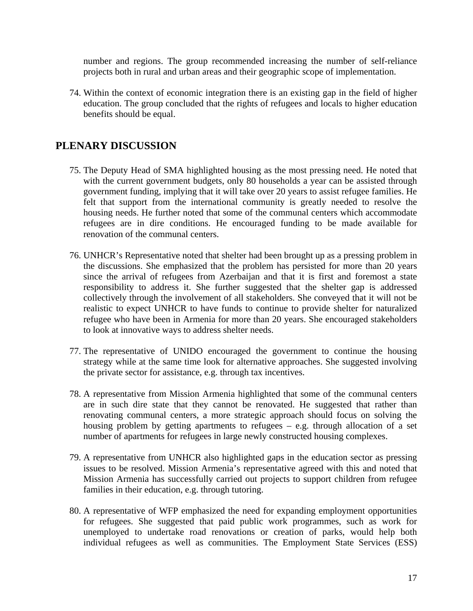number and regions. The group recommended increasing the number of self-reliance projects both in rural and urban areas and their geographic scope of implementation.

74. Within the context of economic integration there is an existing gap in the field of higher education. The group concluded that the rights of refugees and locals to higher education benefits should be equal.

# **PLENARY DISCUSSION**

- 75. The Deputy Head of SMA highlighted housing as the most pressing need. He noted that with the current government budgets, only 80 households a year can be assisted through government funding, implying that it will take over 20 years to assist refugee families. He felt that support from the international community is greatly needed to resolve the housing needs. He further noted that some of the communal centers which accommodate refugees are in dire conditions. He encouraged funding to be made available for renovation of the communal centers.
- 76. UNHCR's Representative noted that shelter had been brought up as a pressing problem in the discussions. She emphasized that the problem has persisted for more than 20 years since the arrival of refugees from Azerbaijan and that it is first and foremost a state responsibility to address it. She further suggested that the shelter gap is addressed collectively through the involvement of all stakeholders. She conveyed that it will not be realistic to expect UNHCR to have funds to continue to provide shelter for naturalized refugee who have been in Armenia for more than 20 years. She encouraged stakeholders to look at innovative ways to address shelter needs.
- 77. The representative of UNIDO encouraged the government to continue the housing strategy while at the same time look for alternative approaches. She suggested involving the private sector for assistance, e.g. through tax incentives.
- 78. A representative from Mission Armenia highlighted that some of the communal centers are in such dire state that they cannot be renovated. He suggested that rather than renovating communal centers, a more strategic approach should focus on solving the housing problem by getting apartments to refugees – e.g. through allocation of a set number of apartments for refugees in large newly constructed housing complexes.
- 79. A representative from UNHCR also highlighted gaps in the education sector as pressing issues to be resolved. Mission Armenia's representative agreed with this and noted that Mission Armenia has successfully carried out projects to support children from refugee families in their education, e.g. through tutoring.
- 80. A representative of WFP emphasized the need for expanding employment opportunities for refugees. She suggested that paid public work programmes, such as work for unemployed to undertake road renovations or creation of parks, would help both individual refugees as well as communities. The Employment State Services (ESS)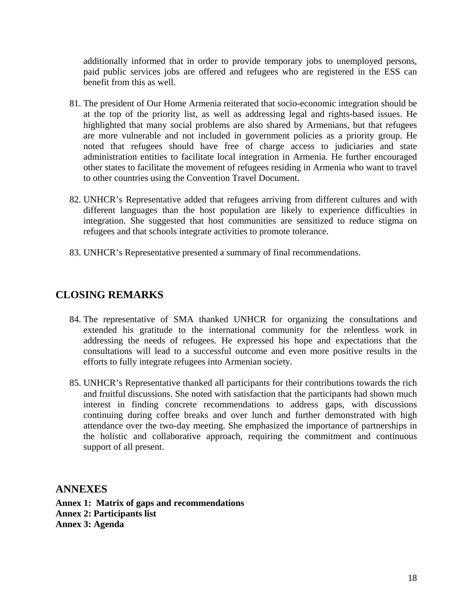additionally informed that in order to provide temporary jobs to unemployed persons, paid public services jobs are offered and refugees who are registered in the ESS can benefit from this as well.

- 81. The president of Our Home Armenia reiterated that socio-economic integration should be at the top of the priority list, as well as addressing legal and rights-based issues. He highlighted that many social problems are also shared by Armenians, but that refugees are more vulnerable and not included in government policies as a priority group. He noted that refugees should have free of charge access to judiciaries and state administration entities to facilitate local integration in Armenia. He further encouraged other states to facilitate the movement of refugees residing in Armenia who want to travel to other countries using the Convention Travel Document.
- 82. UNHCR's Representative added that refugees arriving from different cultures and with different languages than the host population are likely to experience difficulties in integration. She suggested that host communities are sensitized to reduce stigma on refugees and that schools integrate activities to promote tolerance.
- 83. UNHCR's Representative presented a summary of final recommendations.

# **CLOSING REMARKS**

- 84. The representative of SMA thanked UNHCR for organizing the consultations and extended his gratitude to the international community for the relentless work in addressing the needs of refugees. He expressed his hope and expectations that the consultations will lead to a successful outcome and even more positive results in the efforts to fully integrate refugees into Armenian society.
- 85. UNHCR's Representative thanked all participants for their contributions towards the rich and fruitful discussions. She noted with satisfaction that the participants had shown much interest in finding concrete recommendations to address gaps, with discussions continuing during coffee breaks and over lunch and further demonstrated with high attendance over the two-day meeting. She emphasized the importance of partnerships in the holistic and collaborative approach, requiring the commitment and continuous support of all present.

**ANNEXES** 

**Annex 1: Matrix of gaps and recommendations Annex 2: Participants list Annex 3: Agenda**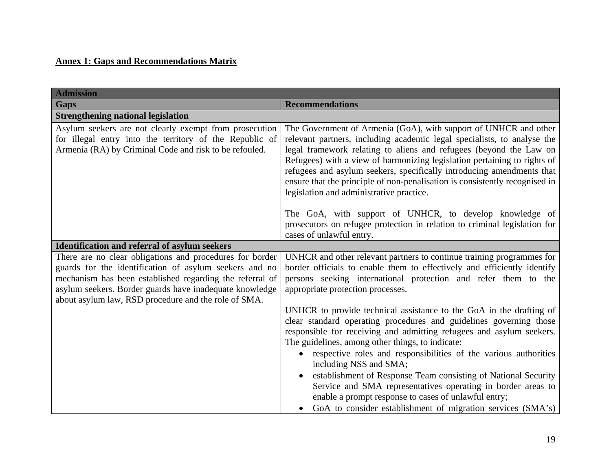# **Annex 1: Gaps and Recommendations Matrix**

| <b>Admission</b>                                                                                                                                                                                                                                                                                  |                                                                                                                                                                                                                                                                                                                                                                                                                                                                                                   |
|---------------------------------------------------------------------------------------------------------------------------------------------------------------------------------------------------------------------------------------------------------------------------------------------------|---------------------------------------------------------------------------------------------------------------------------------------------------------------------------------------------------------------------------------------------------------------------------------------------------------------------------------------------------------------------------------------------------------------------------------------------------------------------------------------------------|
| <b>Gaps</b>                                                                                                                                                                                                                                                                                       | <b>Recommendations</b>                                                                                                                                                                                                                                                                                                                                                                                                                                                                            |
| <b>Strengthening national legislation</b>                                                                                                                                                                                                                                                         |                                                                                                                                                                                                                                                                                                                                                                                                                                                                                                   |
| Asylum seekers are not clearly exempt from prosecution<br>for illegal entry into the territory of the Republic of<br>Armenia (RA) by Criminal Code and risk to be refouled.                                                                                                                       | The Government of Armenia (GoA), with support of UNHCR and other<br>relevant partners, including academic legal specialists, to analyse the<br>legal framework relating to aliens and refugees (beyond the Law on<br>Refugees) with a view of harmonizing legislation pertaining to rights of<br>refugees and asylum seekers, specifically introducing amendments that<br>ensure that the principle of non-penalisation is consistently recognised in<br>legislation and administrative practice. |
|                                                                                                                                                                                                                                                                                                   | The GoA, with support of UNHCR, to develop knowledge of<br>prosecutors on refugee protection in relation to criminal legislation for<br>cases of unlawful entry.                                                                                                                                                                                                                                                                                                                                  |
| <b>Identification and referral of asylum seekers</b>                                                                                                                                                                                                                                              |                                                                                                                                                                                                                                                                                                                                                                                                                                                                                                   |
| There are no clear obligations and procedures for border<br>guards for the identification of asylum seekers and no<br>mechanism has been established regarding the referral of<br>asylum seekers. Border guards have inadequate knowledge<br>about asylum law, RSD procedure and the role of SMA. | UNHCR and other relevant partners to continue training programmes for<br>border officials to enable them to effectively and efficiently identify<br>persons seeking international protection and refer them to the<br>appropriate protection processes.                                                                                                                                                                                                                                           |
|                                                                                                                                                                                                                                                                                                   | UNHCR to provide technical assistance to the GoA in the drafting of<br>clear standard operating procedures and guidelines governing those<br>responsible for receiving and admitting refugees and asylum seekers.<br>The guidelines, among other things, to indicate:<br>respective roles and responsibilities of the various authorities                                                                                                                                                         |
|                                                                                                                                                                                                                                                                                                   | including NSS and SMA;<br>establishment of Response Team consisting of National Security<br>Service and SMA representatives operating in border areas to<br>enable a prompt response to cases of unlawful entry;<br>GoA to consider establishment of migration services (SMA's)                                                                                                                                                                                                                   |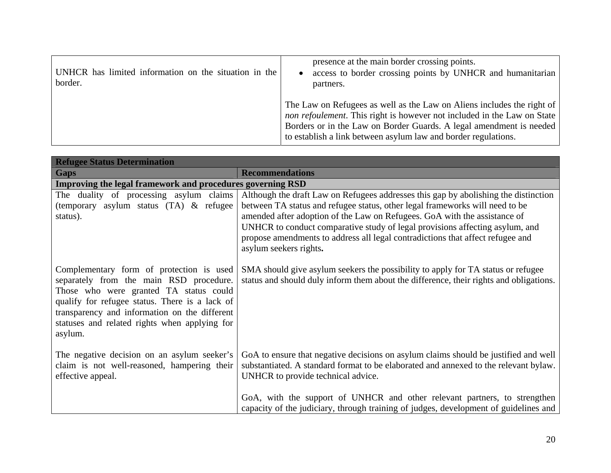| UNHCR has limited information on the situation in the<br>border. | presence at the main border crossing points.<br>access to border crossing points by UNHCR and humanitarian<br>partners.                                                                                                                                                                            |
|------------------------------------------------------------------|----------------------------------------------------------------------------------------------------------------------------------------------------------------------------------------------------------------------------------------------------------------------------------------------------|
|                                                                  | The Law on Refugees as well as the Law on Aliens includes the right of<br><i>non refoulement</i> . This right is however not included in the Law on State<br>Borders or in the Law on Border Guards. A legal amendment is needed<br>to establish a link between asylum law and border regulations. |

| <b>Refugee Status Determination</b>                                                                                                                                                                                                                                                          |                                                                                                                                                                                                                                                                                                                                                                                                                                              |
|----------------------------------------------------------------------------------------------------------------------------------------------------------------------------------------------------------------------------------------------------------------------------------------------|----------------------------------------------------------------------------------------------------------------------------------------------------------------------------------------------------------------------------------------------------------------------------------------------------------------------------------------------------------------------------------------------------------------------------------------------|
| <b>Gaps</b>                                                                                                                                                                                                                                                                                  | <b>Recommendations</b>                                                                                                                                                                                                                                                                                                                                                                                                                       |
| Improving the legal framework and procedures governing RSD                                                                                                                                                                                                                                   |                                                                                                                                                                                                                                                                                                                                                                                                                                              |
| The duality of processing asylum claims<br>(temporary asylum status (TA) & refugee<br>status).                                                                                                                                                                                               | Although the draft Law on Refugees addresses this gap by abolishing the distinction<br>between TA status and refugee status, other legal frameworks will need to be<br>amended after adoption of the Law on Refugees. GoA with the assistance of<br>UNHCR to conduct comparative study of legal provisions affecting asylum, and<br>propose amendments to address all legal contradictions that affect refugee and<br>asylum seekers rights. |
| Complementary form of protection is used<br>separately from the main RSD procedure.<br>Those who were granted TA status could<br>qualify for refugee status. There is a lack of<br>transparency and information on the different<br>statuses and related rights when applying for<br>asylum. | SMA should give asylum seekers the possibility to apply for TA status or refugee<br>status and should duly inform them about the difference, their rights and obligations.                                                                                                                                                                                                                                                                   |
| The negative decision on an asylum seeker's<br>claim is not well-reasoned, hampering their<br>effective appeal.                                                                                                                                                                              | GoA to ensure that negative decisions on asylum claims should be justified and well<br>substantiated. A standard format to be elaborated and annexed to the relevant bylaw.<br>UNHCR to provide technical advice.                                                                                                                                                                                                                            |
|                                                                                                                                                                                                                                                                                              | GoA, with the support of UNHCR and other relevant partners, to strengthen<br>capacity of the judiciary, through training of judges, development of guidelines and                                                                                                                                                                                                                                                                            |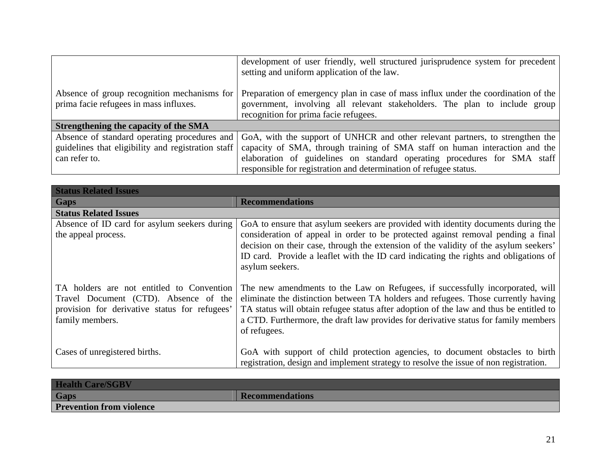|                                                                                       | development of user friendly, well structured jurisprudence system for precedent<br>setting and uniform application of the law.                                                                           |
|---------------------------------------------------------------------------------------|-----------------------------------------------------------------------------------------------------------------------------------------------------------------------------------------------------------|
| Absence of group recognition mechanisms for<br>prima facie refugees in mass influxes. | Preparation of emergency plan in case of mass influx under the coordination of the<br>government, involving all relevant stakeholders. The plan to include group<br>recognition for prima facie refugees. |
| Strengthening the capacity of the SMA                                                 |                                                                                                                                                                                                           |
| Absence of standard operating procedures and                                          | GoA, with the support of UNHCR and other relevant partners, to strengthen the                                                                                                                             |
| guidelines that eligibility and registration staff                                    | capacity of SMA, through training of SMA staff on human interaction and the                                                                                                                               |
| can refer to.                                                                         | elaboration of guidelines on standard operating procedures for SMA staff                                                                                                                                  |
|                                                                                       | responsible for registration and determination of refugee status.                                                                                                                                         |

| <b>Status Related Issues</b>                                                                                                                           |                                                                                                                                                                                                                                                                                                                                                                          |
|--------------------------------------------------------------------------------------------------------------------------------------------------------|--------------------------------------------------------------------------------------------------------------------------------------------------------------------------------------------------------------------------------------------------------------------------------------------------------------------------------------------------------------------------|
| <b>Gaps</b>                                                                                                                                            | <b>Recommendations</b>                                                                                                                                                                                                                                                                                                                                                   |
| <b>Status Related Issues</b>                                                                                                                           |                                                                                                                                                                                                                                                                                                                                                                          |
| Absence of ID card for asylum seekers during<br>the appeal process.                                                                                    | GoA to ensure that asylum seekers are provided with identity documents during the<br>consideration of appeal in order to be protected against removal pending a final<br>decision on their case, through the extension of the validity of the asylum seekers'<br>ID card. Provide a leaflet with the ID card indicating the rights and obligations of<br>asylum seekers. |
| TA holders are not entitled to Convention<br>Travel Document (CTD). Absence of the<br>provision for derivative status for refugees'<br>family members. | The new amendments to the Law on Refugees, if successfully incorporated, will<br>eliminate the distinction between TA holders and refugees. Those currently having<br>TA status will obtain refugee status after adoption of the law and thus be entitled to<br>a CTD. Furthermore, the draft law provides for derivative status for family members<br>of refugees.      |
| Cases of unregistered births.                                                                                                                          | GoA with support of child protection agencies, to document obstacles to birth<br>registration, design and implement strategy to resolve the issue of non registration.                                                                                                                                                                                                   |

| <b>Health Care/SGBV</b>         |                        |
|---------------------------------|------------------------|
| <b>Gaps</b>                     | <b>Recommendations</b> |
| <b>Prevention from violence</b> |                        |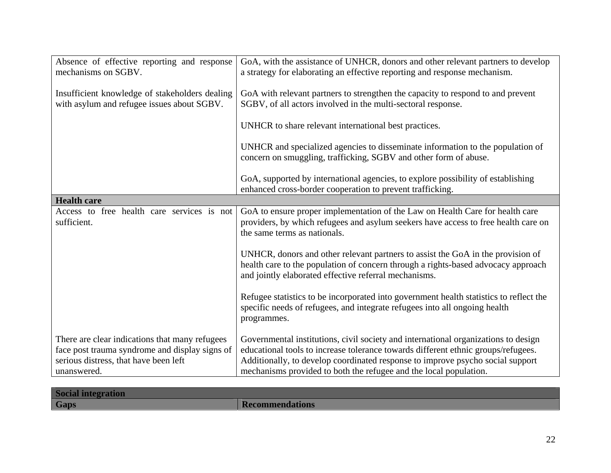| Absence of effective reporting and response<br>mechanisms on SGBV.                                                                                       | GoA, with the assistance of UNHCR, donors and other relevant partners to develop<br>a strategy for elaborating an effective reporting and response mechanism.                                                                                                                                                                  |
|----------------------------------------------------------------------------------------------------------------------------------------------------------|--------------------------------------------------------------------------------------------------------------------------------------------------------------------------------------------------------------------------------------------------------------------------------------------------------------------------------|
| Insufficient knowledge of stakeholders dealing<br>with asylum and refugee issues about SGBV.                                                             | GoA with relevant partners to strengthen the capacity to respond to and prevent<br>SGBV, of all actors involved in the multi-sectoral response.                                                                                                                                                                                |
|                                                                                                                                                          | UNHCR to share relevant international best practices.                                                                                                                                                                                                                                                                          |
|                                                                                                                                                          | UNHCR and specialized agencies to disseminate information to the population of<br>concern on smuggling, trafficking, SGBV and other form of abuse.                                                                                                                                                                             |
|                                                                                                                                                          | GoA, supported by international agencies, to explore possibility of establishing<br>enhanced cross-border cooperation to prevent trafficking.                                                                                                                                                                                  |
| <b>Health care</b>                                                                                                                                       |                                                                                                                                                                                                                                                                                                                                |
| Access to free health care services is not<br>sufficient.                                                                                                | GoA to ensure proper implementation of the Law on Health Care for health care<br>providers, by which refugees and asylum seekers have access to free health care on<br>the same terms as nationals.                                                                                                                            |
|                                                                                                                                                          | UNHCR, donors and other relevant partners to assist the GoA in the provision of<br>health care to the population of concern through a rights-based advocacy approach<br>and jointly elaborated effective referral mechanisms.                                                                                                  |
|                                                                                                                                                          | Refugee statistics to be incorporated into government health statistics to reflect the<br>specific needs of refugees, and integrate refugees into all ongoing health<br>programmes.                                                                                                                                            |
| There are clear indications that many refugees<br>face post trauma syndrome and display signs of<br>serious distress, that have been left<br>unanswered. | Governmental institutions, civil society and international organizations to design<br>educational tools to increase tolerance towards different ethnic groups/refugees.<br>Additionally, to develop coordinated response to improve psycho social support<br>mechanisms provided to both the refugee and the local population. |

| <b>Social integration</b> |                        |
|---------------------------|------------------------|
| <b>Gaps</b>               | <b>Recommendations</b> |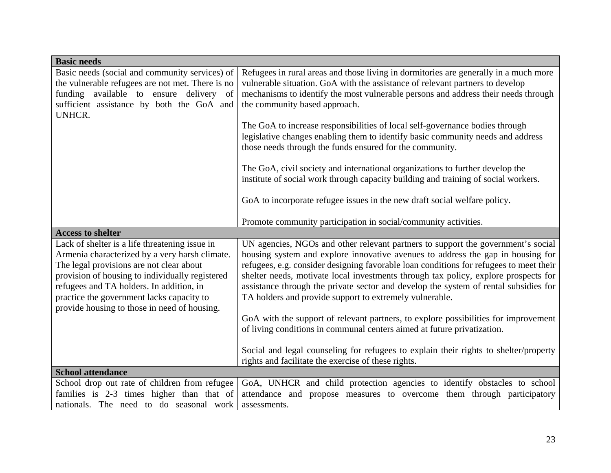| <b>Basic needs</b>                                                                        |                                                                                        |
|-------------------------------------------------------------------------------------------|----------------------------------------------------------------------------------------|
| Basic needs (social and community services) of                                            | Refugees in rural areas and those living in dormitories are generally in a much more   |
| the vulnerable refugees are not met. There is no                                          | vulnerable situation. GoA with the assistance of relevant partners to develop          |
| funding available to ensure delivery of                                                   | mechanisms to identify the most vulnerable persons and address their needs through     |
| sufficient assistance by both the GoA and                                                 | the community based approach.                                                          |
| <b>UNHCR.</b>                                                                             |                                                                                        |
|                                                                                           | The GoA to increase responsibilities of local self-governance bodies through           |
|                                                                                           | legislative changes enabling them to identify basic community needs and address        |
|                                                                                           | those needs through the funds ensured for the community.                               |
|                                                                                           | The GoA, civil society and international organizations to further develop the          |
|                                                                                           | institute of social work through capacity building and training of social workers.     |
|                                                                                           |                                                                                        |
|                                                                                           | GoA to incorporate refugee issues in the new draft social welfare policy.              |
|                                                                                           |                                                                                        |
|                                                                                           | Promote community participation in social/community activities.                        |
| <b>Access to shelter</b>                                                                  |                                                                                        |
| Lack of shelter is a life threatening issue in                                            | UN agencies, NGOs and other relevant partners to support the government's social       |
| Armenia characterized by a very harsh climate.                                            | housing system and explore innovative avenues to address the gap in housing for        |
| The legal provisions are not clear about                                                  | refugees, e.g. consider designing favorable loan conditions for refugees to meet their |
| provision of housing to individually registered                                           | shelter needs, motivate local investments through tax policy, explore prospects for    |
| refugees and TA holders. In addition, in                                                  | assistance through the private sector and develop the system of rental subsidies for   |
| practice the government lacks capacity to<br>provide housing to those in need of housing. | TA holders and provide support to extremely vulnerable.                                |
|                                                                                           | GoA with the support of relevant partners, to explore possibilities for improvement    |
|                                                                                           | of living conditions in communal centers aimed at future privatization.                |
|                                                                                           |                                                                                        |
|                                                                                           | Social and legal counseling for refugees to explain their rights to shelter/property   |
|                                                                                           | rights and facilitate the exercise of these rights.                                    |
| <b>School attendance</b>                                                                  |                                                                                        |
| School drop out rate of children from refugee                                             | GoA, UNHCR and child protection agencies to identify obstacles to school               |
| families is 2-3 times higher than that of                                                 | attendance and propose measures to overcome them through participatory                 |
| nationals. The need to do seasonal work                                                   | assessments.                                                                           |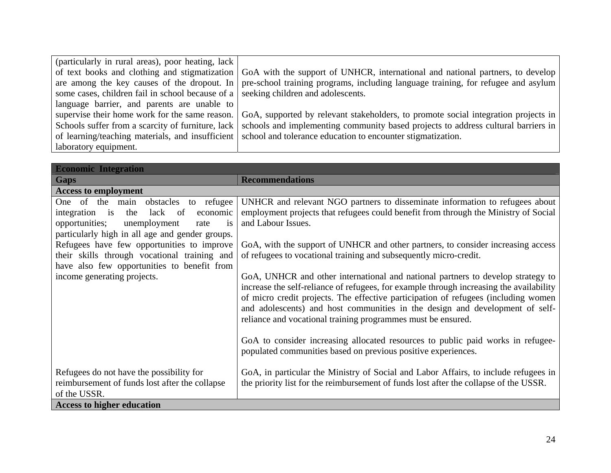| (particularly in rural areas), poor heating, lack                                          |                                                                                                                                     |
|--------------------------------------------------------------------------------------------|-------------------------------------------------------------------------------------------------------------------------------------|
|                                                                                            | of text books and clothing and stigmatization GoA with the support of UNHCR, international and national partners, to develop        |
|                                                                                            | are among the key causes of the dropout. In pre-school training programs, including language training, for refugee and asylum       |
| some cases, children fail in school because of a $\vert$ seeking children and adolescents. |                                                                                                                                     |
| language barrier, and parents are unable to                                                |                                                                                                                                     |
|                                                                                            | supervise their home work for the same reason.   GoA, supported by relevant stakeholders, to promote social integration projects in |
| Schools suffer from a scarcity of furniture, lack                                          | schools and implementing community based projects to address cultural barriers in                                                   |
|                                                                                            | of learning/teaching materials, and insufficient   school and tolerance education to encounter stigmatization.                      |
| laboratory equipment.                                                                      |                                                                                                                                     |

| <b>Economic Integration</b>                                                                                                                                                                                                                                                                                                                                                   |                                                                                                                                                                                                                                                                                                                                                                                                                                                                                                                                                                                                                                                                                                                                                                                                                                                                                                                            |
|-------------------------------------------------------------------------------------------------------------------------------------------------------------------------------------------------------------------------------------------------------------------------------------------------------------------------------------------------------------------------------|----------------------------------------------------------------------------------------------------------------------------------------------------------------------------------------------------------------------------------------------------------------------------------------------------------------------------------------------------------------------------------------------------------------------------------------------------------------------------------------------------------------------------------------------------------------------------------------------------------------------------------------------------------------------------------------------------------------------------------------------------------------------------------------------------------------------------------------------------------------------------------------------------------------------------|
| <b>Gaps</b>                                                                                                                                                                                                                                                                                                                                                                   | <b>Recommendations</b>                                                                                                                                                                                                                                                                                                                                                                                                                                                                                                                                                                                                                                                                                                                                                                                                                                                                                                     |
| <b>Access to employment</b>                                                                                                                                                                                                                                                                                                                                                   |                                                                                                                                                                                                                                                                                                                                                                                                                                                                                                                                                                                                                                                                                                                                                                                                                                                                                                                            |
| obstacles to refugee<br>One of the main<br>lack of<br>integration is<br>the<br>economic<br>opportunities;<br>unemployment<br>rate<br><i>is</i><br>particularly high in all age and gender groups.<br>Refugees have few opportunities to improve<br>their skills through vocational training and<br>have also few opportunities to benefit from<br>income generating projects. | UNHCR and relevant NGO partners to disseminate information to refugees about<br>employment projects that refugees could benefit from through the Ministry of Social<br>and Labour Issues.<br>GoA, with the support of UNHCR and other partners, to consider increasing access<br>of refugees to vocational training and subsequently micro-credit.<br>GoA, UNHCR and other international and national partners to develop strategy to<br>increase the self-reliance of refugees, for example through increasing the availability<br>of micro credit projects. The effective participation of refugees (including women<br>and adolescents) and host communities in the design and development of self-<br>reliance and vocational training programmes must be ensured.<br>GoA to consider increasing allocated resources to public paid works in refugee-<br>populated communities based on previous positive experiences. |
| Refugees do not have the possibility for<br>reimbursement of funds lost after the collapse<br>of the USSR.                                                                                                                                                                                                                                                                    | GoA, in particular the Ministry of Social and Labor Affairs, to include refugees in<br>the priority list for the reimbursement of funds lost after the collapse of the USSR.                                                                                                                                                                                                                                                                                                                                                                                                                                                                                                                                                                                                                                                                                                                                               |
| <b>Access to higher education</b>                                                                                                                                                                                                                                                                                                                                             |                                                                                                                                                                                                                                                                                                                                                                                                                                                                                                                                                                                                                                                                                                                                                                                                                                                                                                                            |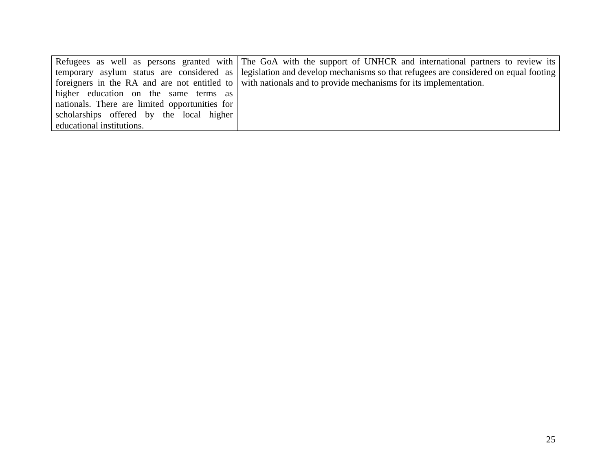|                                                | Refugees as well as persons granted with The GoA with the support of UNHCR and international partners to review its           |
|------------------------------------------------|-------------------------------------------------------------------------------------------------------------------------------|
|                                                | temporary asylum status are considered as legislation and develop mechanisms so that refugees are considered on equal footing |
|                                                | foreigners in the RA and are not entitled to with nationals and to provide mechanisms for its implementation.                 |
| higher education on the same terms as          |                                                                                                                               |
| nationals. There are limited opportunities for |                                                                                                                               |
| scholarships offered by the local higher       |                                                                                                                               |
| educational institutions.                      |                                                                                                                               |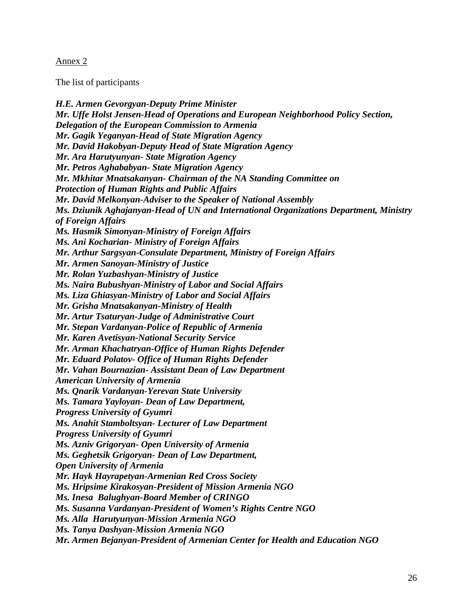#### Annex 2

The list of participants

*H.E. Armen Gevorgyan-Deputy Prime Minister Mr. Uffe Holst Jensen-Head of Operations and European Neighborhood Policy Section, Delegation of the European Commission to Armenia Mr. Gagik Yeganyan-Head of State Migration Agency Mr. David Hakobyan-Deputy Head of State Migration Agency Mr. Ara Harutyunyan- State Migration Agency Mr. Petros Aghababyan- State Migration Agency Mr. Mkhitar Mnatsakanyan- Chairman of the NA Standing Committee on Protection of Human Rights and Public Affairs Mr. David Melkonyan-Adviser to the Speaker of National Assembly Ms. Dziunik Aghajanyan-Head of UN and International Organizations Department, Ministry of Foreign Affairs Ms. Hasmik Simonyan-Ministry of Foreign Affairs Ms. Ani Kocharian- Ministry of Foreign Affairs Mr. Arthur Sargsyan-Consulate Department, Ministry of Foreign Affairs Mr. Armen Sanoyan-Ministry of Justice Mr. Rolan Yuzbashyan-Ministry of Justice Ms. Naira Bubushyan-Ministry of Labor and Social Affairs Ms. Liza Ghiasyan-Ministry of Labor and Social Affairs Mr. Grisha Mnatsakanyan-Ministry of Health Mr. Artur Tsaturyan-Judge of Administrative Court Mr. Stepan Vardanyan-Police of Republic of Armenia Mr. Karen Avetisyan-National Security Service Mr. Arman Khachatryan-Office of Human Rights Defender Mr. Eduard Polatov- Office of Human Rights Defender Mr. Vahan Bournazian- Assistant Dean of Law Department American University of Armenia Ms. Qnarik Vardanyan-Yerevan State University Ms. Tamara Yayloyan- Dean of Law Department, Progress University of Gyumri Ms. Anahit Stamboltsyan- Lecturer of Law Department Progress University of Gyumri Ms. Azniv Grigoryan- Open University of Armenia Ms. Geghetsik Grigoryan- Dean of Law Department, Open University of Armenia Mr. Hayk Hayrapetyan-Armenian Red Cross Society Ms. Hripsime Kirakosyan-President of Mission Armenia NGO Ms. Inesa Balughyan-Board Member of CRINGO Ms. Susanna Vardanyan-President of Women's Rights Centre NGO Ms. Alla Harutyunyan-Mission Armenia NGO Ms. Tanya Dashyan-Mission Armenia NGO Mr. Armen Bejanyan-President of Armenian Center for Health and Education NGO*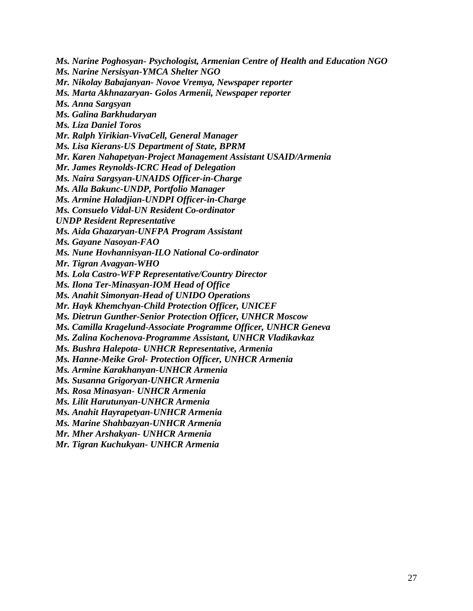*Ms. Narine Poghosyan- Psychologist, Armenian Centre of Health and Education NGO* 

*Ms. Narine Nersisyan-YMCA Shelter NGO* 

*Mr. Nikolay Babajanyan- Novoe Vremya, Newspaper reporter* 

*Ms. Marta Akhnazaryan- Golos Armenii, Newspaper reporter* 

*Ms. Anna Sargsyan* 

*Ms. Galina Barkhudaryan* 

*Ms. Liza Daniel Toros* 

*Mr. Ralph Yirikian-VivaCell, General Manager* 

*Ms. Lisa Kierans-US Department of State, BPRM* 

*Mr. Karen Nahapetyan-Project Management Assistant USAID/Armenia* 

*Mr. James Reynolds-ICRC Head of Delegation* 

*Ms. Naira Sargsyan-UNAIDS Officer-in-Charge* 

*Ms. Alla Bakunc-UNDP, Portfolio Manager* 

*Ms. Armine Haladjian-UNDPI Officer-in-Charge* 

*Ms. Consuelo Vidal-UN Resident Co-ordinator* 

*UNDP Resident Representative* 

*Ms. Aida Ghazaryan-UNFPA Program Assistant* 

*Ms. Gayane Nasoyan-FAO* 

*Ms. Nune Hovhannisyan-ILO National Co-ordinator* 

*Mr. Tigran Avagyan-WHO* 

*Ms. Lola Castro-WFP Representative/Country Director* 

*Ms. Ilona Ter-Minasyan-IOM Head of Office* 

*Ms. Anahit Simonyan-Head of UNIDO Operations* 

*Mr. Hayk Khemchyan-Child Protection Officer, UNICEF* 

*Ms. Dietrun Gunther-Senior Protection Officer, UNHCR Moscow* 

*Ms. Camilla Kragelund-Associate Programme Officer, UNHCR Geneva* 

*Ms. Zalina Kochenova-Programme Assistant, UNHCR Vladikavkaz* 

*Ms. Bushra Halepota- UNHCR Representative, Armenia* 

*Ms. Hanne-Meike Grol- Protection Officer, UNHCR Armenia* 

*Ms. Armine Karakhanyan-UNHCR Armenia* 

*Ms. Susanna Grigoryan-UNHCR Armenia* 

*Ms. Rosa Minasyan*- *UNHCR Armenia* 

*Ms. Lilit Harutunyan-UNHCR Armenia* 

*Ms. Anahit Hayrapetyan-UNHCR Armenia* 

*Ms. Marine Shahbazyan-UNHCR Armenia* 

*Mr. Mher Arshakyan- UNHCR Armenia* 

*Mr. Tigran Kuchukyan- UNHCR Armenia*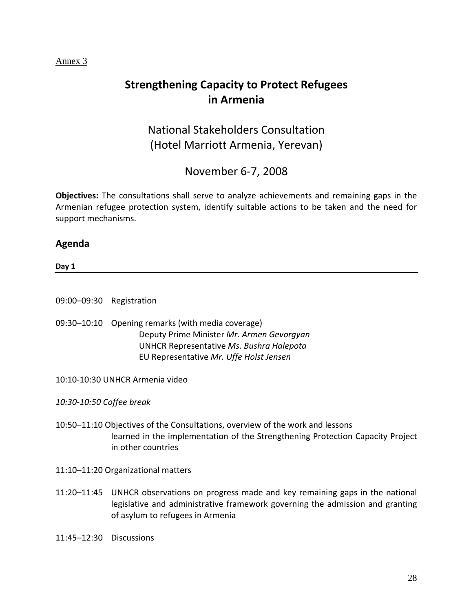#### Annex 3

# **Strengthening Capacity to Protect Refugees in Armenia**

National Stakeholders Consultation (Hotel Marriott Armenia, Yerevan)

November 6‐7, 2008

**Objectives:** The consultations shall serve to analyze achievements and remaining gaps in the Armenian refugee protection system, identify suitable actions to be taken and the need for support mechanisms.

### **Agenda**

**Day 1**

09:00–09:30 Registration

09:30–10:10 Opening remarks (with media coverage) Deputy Prime Minister *Mr. Armen Gevorgyan* UNHCR Representative *Ms. Bushra Halepota* EU Representative *Mr. Uffe Holst Jensen*

10:10‐10:30 UNHCR Armenia video

*10:30‐10:50 Coffee break*

10:50–11:10 Objectives of the Consultations, overview of the work and lessons learned in the implementation of the Strengthening Protection Capacity Project in other countries

11:10–11:20 Organizational matters

11:20–11:45 UNHCR observations on progress made and key remaining gaps in the national legislative and administrative framework governing the admission and granting of asylum to refugees in Armenia

11:45–12:30 Discussions